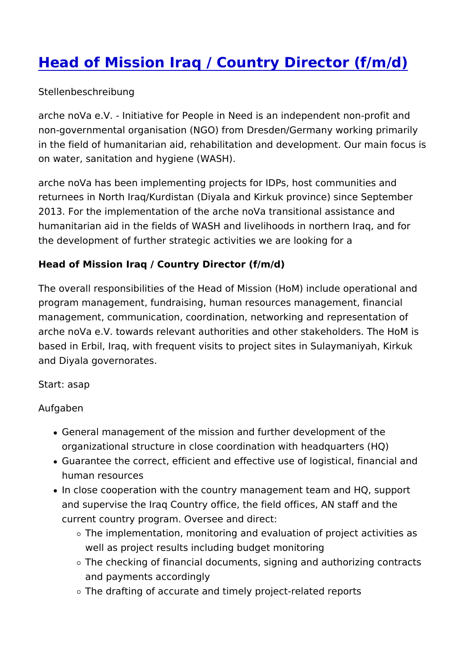## [Head of Mission Iraq / Country Direc](https://arche-nova.org/jobs/head-mission-iraq-country-director-fmd)tor (f)

Stellenbeschreibung

arche noVa e.V. - Initiative for People in Need is an independe non-governmental organisation (NGO) from Dresden/Germany wo in the field of humanitarian aid, rehabilitation and development on water, sanitation and hygiene (WASH).

arche noVa has been implementing projects for IDPs, host comn returnees in North Iraq/Kurdistan (Diyala and Kirkuk province) s 2013. For the implementation of the arche noVa transitional ass humanitarian aid in the fields of WASH and livelihoods in north the development of further strategic activities we are looking for

Head of Mission Iraq / Country Director (f/m/d)

The overall responsibilities of the Head of Mission (HoM) includ program management, fundraising, human resources managemen management, communication, coordination, networking and repr arche no $\vee$ a e. $\vee$ . towards relevant authorities and other stakeho based in Erbil, Iraq, with frequent visits to project sites in Sula and Diyala governorates.

Start: asap

Aufgaben

- General management of the mission and further development of the organizational structure in close coordination with headquar
- Guarantee the correct, efficient and effective use of logistic human resources
- . In close cooperation with the country management team and and supervise the Iraq Country office, the field offices, AN current country program. Oversee and direct:
	- $\circ$  The implementation, monitoring and evaluation of projec well as project results including budget monitoring
	- $\circ$  The checking of financial documents, signing and author and payments accordingly
	- $\circ$  The drafting of accurate and timely project-related repor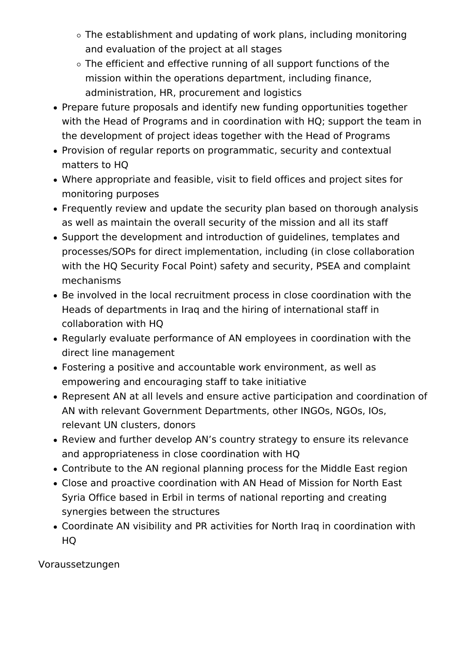- The establishment and updating of work plans, including monitoring and evaluation of the project at all stages
- The efficient and effective running of all support functions of the mission within the operations department, including finance, administration, HR, procurement and logistics
- Prepare future proposals and identify new funding opportunities together with the Head of Programs and in coordination with HQ; support the team in the development of project ideas together with the Head of Programs
- Provision of regular reports on programmatic, security and contextual matters to HQ
- Where appropriate and feasible, visit to field offices and project sites for monitoring purposes
- Frequently review and update the security plan based on thorough analysis as well as maintain the overall security of the mission and all its staff
- Support the development and introduction of guidelines, templates and processes/SOPs for direct implementation, including (in close collaboration with the HQ Security Focal Point) safety and security, PSEA and complaint mechanisms
- Be involved in the local recruitment process in close coordination with the Heads of departments in Iraq and the hiring of international staff in collaboration with HQ
- Regularly evaluate performance of AN employees in coordination with the direct line management
- Fostering a positive and accountable work environment, as well as empowering and encouraging staff to take initiative
- Represent AN at all levels and ensure active participation and coordination of AN with relevant Government Departments, other INGOs, NGOs, IOs, relevant UN clusters, donors
- Review and further develop AN's country strategy to ensure its relevance and appropriateness in close coordination with HQ
- Contribute to the AN regional planning process for the Middle East region
- Close and proactive coordination with AN Head of Mission for North East Syria Office based in Erbil in terms of national reporting and creating synergies between the structures
- Coordinate AN visibility and PR activities for North Iraq in coordination with HQ

Voraussetzungen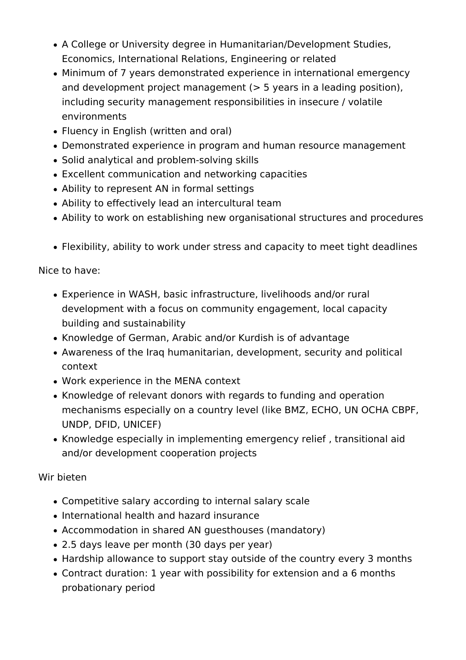- A College or University degree in Humanitarian/Development Studies, Economics, International Relations, Engineering or related
- Minimum of 7 years demonstrated experience in international emergency and development project management (> 5 years in a leading position), including security management responsibilities in insecure / volatile environments
- Fluency in English (written and oral)
- Demonstrated experience in program and human resource management
- Solid analytical and problem-solving skills
- Excellent communication and networking capacities
- Ability to represent AN in formal settings
- Ability to effectively lead an intercultural team
- Ability to work on establishing new organisational structures and procedures
- Flexibility, ability to work under stress and capacity to meet tight deadlines

Nice to have:

- Experience in WASH, basic infrastructure, livelihoods and/or rural development with a focus on community engagement, local capacity building and sustainability
- Knowledge of German, Arabic and/or Kurdish is of advantage
- Awareness of the Iraq humanitarian, development, security and political context
- Work experience in the MENA context
- Knowledge of relevant donors with regards to funding and operation mechanisms especially on a country level (like BMZ, ECHO, UN OCHA CBPF, UNDP, DFID, UNICEF)
- Knowledge especially in implementing emergency relief , transitional aid and/or development cooperation projects

Wir bieten

- Competitive salary according to internal salary scale
- International health and hazard insurance
- Accommodation in shared AN guesthouses (mandatory)
- 2.5 days leave per month (30 days per year)
- Hardship allowance to support stay outside of the country every 3 months
- Contract duration: 1 year with possibility for extension and a 6 months probationary period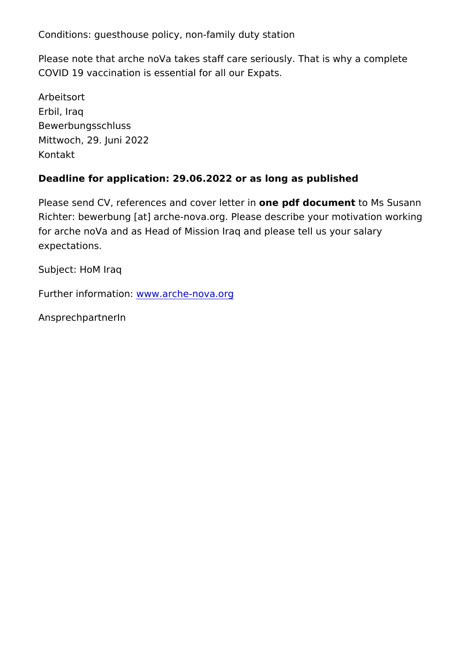Conditions: guesthouse policy, non-family duty station

Please note that arche noVa takes staff care seriously. That is COVID 19 vaccination is essential for all our Expats.

Arbeitsort Erbil, Iraq Bewerbungsschluss Mittwoch, 29. Juni 2022 Kontakt

Deadline for application: 29.06.2022 or as long as published

Please send CV, references and conveepd tide cumet mussusann Richtebrewerbung taarche-nova. Orgease describe your motivation w for arche noVa and as Head of Mission Iraq and please tell us y expectations.

Subject: HoM Iraq

Further information...arche-nova.org

AnsprechpartnerIn